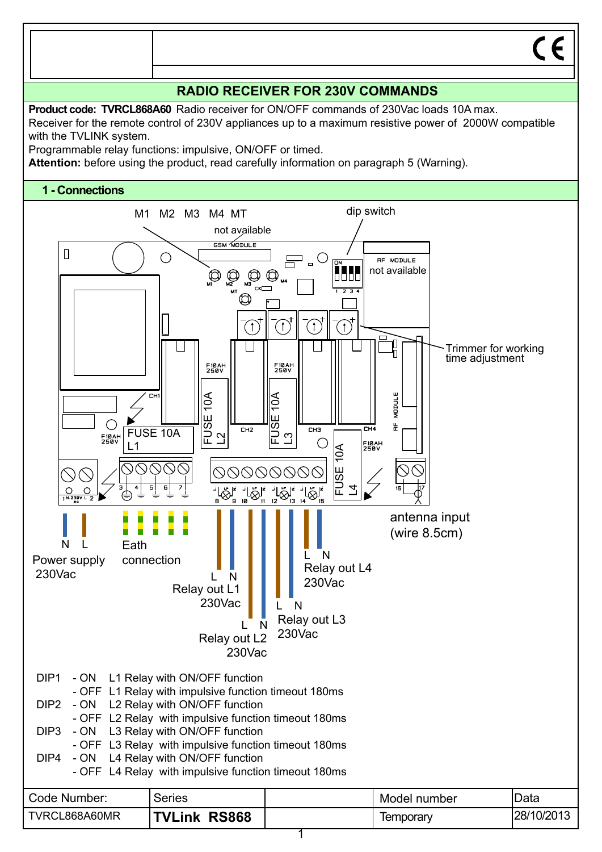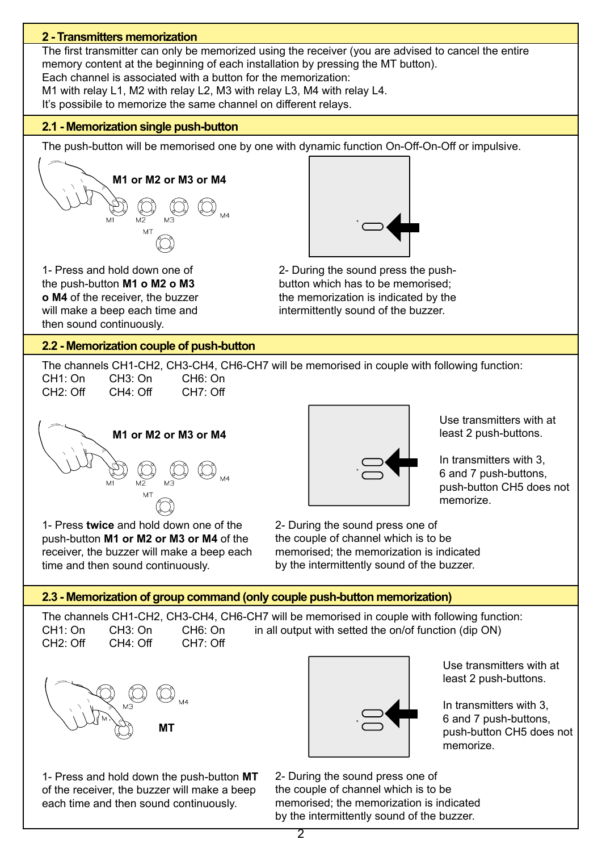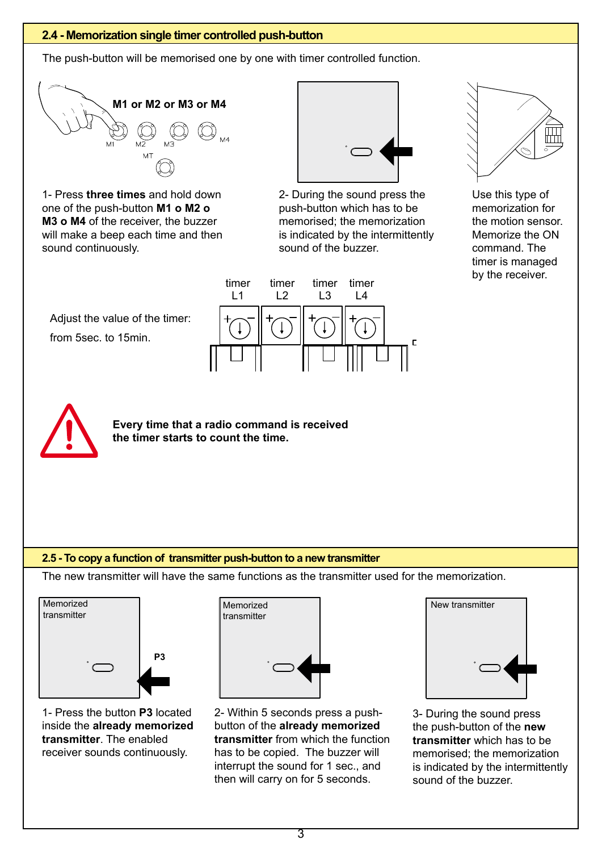## **2.4 - Memorization single timer controlled push-button**

The push-button will be memorised one by one with timer controlled function.



1- Press **three times** and hold down one of the push-button **M1 o M2 o M3 o M4** of the receiver, the buzzer will make a beep each time and then sound continuously.



2- During the sound press the push-button which has to be memorised; the memorization is indicated by the intermittently sound of the buzzer.



Use this type of memorization for the motion sensor. Memorize the ON command. The timer is managed by the receiver.

Adjust the value of the timer: from 5sec. to 15min.





**Every time that a radio command is received the timer starts to count the time.**

### **2.5 - To copy a function of transmitter push-button to a new transmitter**

The new transmitter will have the same functions as the transmitter used for the memorization.



1- Press the button **P3** located inside the **already memorized transmitter**. The enabled receiver sounds continuously.



2- Within 5 seconds press a pushbutton of the **already memorized transmitter** from which the function has to be copied. The buzzer will interrupt the sound for 1 sec., and then will carry on for 5 seconds.



3- During the sound press the push-button of the **new transmitter** which has to be memorised; the memorization is indicated by the intermittently sound of the buzzer.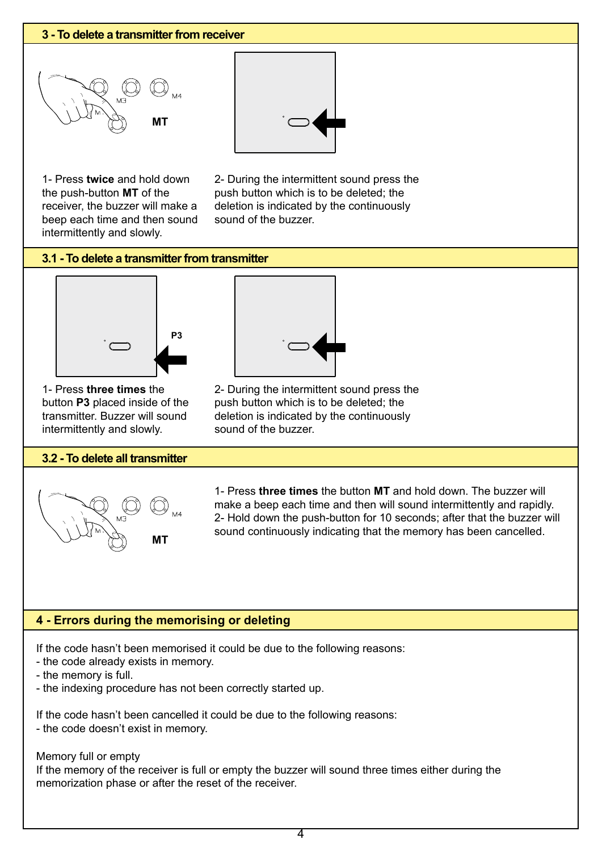### **3 - To delete a transmitter from receiver**





1- Press **twice** and hold down the push-button **MT** of the receiver, the buzzer will make a beep each time and then sound intermittently and slowly.

2- During the intermittent sound press the push button which is to be deleted; the deletion is indicated by the continuously sound of the buzzer.

## **3.1 - To delete a transmitter from transmitter**



1- Press **three times** the button **P3** placed inside of the transmitter. Buzzer will sound intermittently and slowly.

#### **3.2 - To delete all transmitter**



2- During the intermittent sound press the

push button which is to be deleted; the deletion is indicated by the continuously sound of the buzzer.

1- Press **three times** the button **MT** and hold down. The buzzer will make a beep each time and then will sound intermittently and rapidly. 2- Hold down the push-button for 10 seconds; after that the buzzer will sound continuously indicating that the memory has been cancelled.

## **4 - Errors during the memorising or deleting**

If the code hasn't been memorised it could be due to the following reasons:

- the code already exists in memory.
- the memory is full.
- the indexing procedure has not been correctly started up.

If the code hasn't been cancelled it could be due to the following reasons:

- the code doesn't exist in memory.

Memory full or empty

If the memory of the receiver is full or empty the buzzer will sound three times either during the memorization phase or after the reset of the receiver.

 $\overline{\bf{4}}$